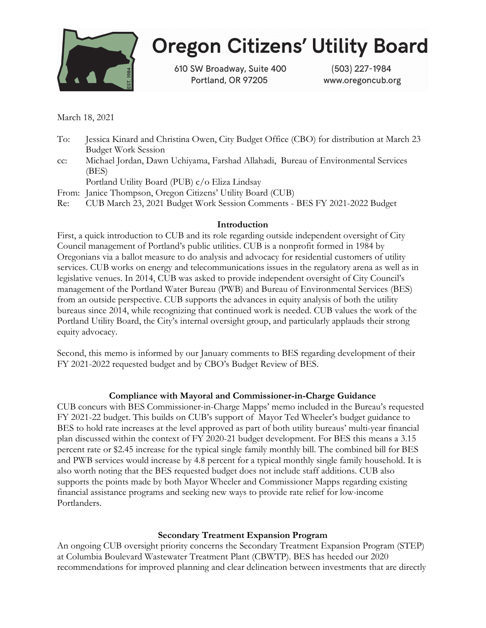

# **Oregon Citizens' Utility Board**

610 SW Broadway, Suite 400 Portland, OR 97205

(503) 227-1984 www.oregoncub.org

March 18, 2021

- To: Jessica Kinard and Christina Owen, City Budget Office (CBO) for distribution at March 23 Budget Work Session
- cc: Michael Jordan, Dawn Uchiyama, Farshad Allahadi, Bureau of Environmental Services (BES)

Portland Utility Board (PUB) c/o Eliza Lindsay

From: Janice Thompson, Oregon Citizens' Utility Board (CUB)

Re: CUB March 23, 2021 Budget Work Session Comments - BES FY 2021-2022 Budget

#### Introduction

First, a quick introduction to CUB and its role regarding outside independent oversight of City Council management of Portland's public utilities. CUB is a nonprofit formed in 1984 by Oregonians via a ballot measure to do analysis and advocacy for residential customers of utility services. CUB works on energy and telecommunications issues in the regulatory arena as well as in legislative venues. In 2014, CUB was asked to provide independent oversight of City Council's management of the Portland Water Bureau (PWB) and Bureau of Environmental Services (BES) from an outside perspective. CUB supports the advances in equity analysis of both the utility bureaus since 2014, while recognizing that continued work is needed. CUB values the work of the Portland Utility Board, the City's internal oversight group, and particularly applauds their strong equity advocacy.

Second, this memo is informed by our January comments to BES regarding development of their FY 2021-2022 requested budget and by CBO's Budget Review of BES.

## Compliance with Mayoral and Commissioner-in-Charge Guidance

CUB concurs with BES Commissioner-in-Charge Mapps' memo included in the Bureau's requested FY 2021-22 budget. This builds on CUB's support of Mayor Ted Wheeler's budget guidance to BES to hold rate increases at the level approved as part of both utility bureaus' multi-year financial plan discussed within the context of FY 2020-21 budget development. For BES this means a 3.15 percent rate or \$2.45 increase for the typical single family monthly bill. The combined bill for BES and PWB services would increase by 4.8 percent for a typical monthly single family household. It is also worth noting that the BES requested budget does not include staff additions. CUB also supports the points made by both Mayor Wheeler and Commissioner Mapps regarding existing financial assistance programs and seeking new ways to provide rate relief for low-income Portlanders.

## Secondary Treatment Expansion Program

An ongoing CUB oversight priority concerns the Secondary Treatment Expansion Program (STEP) at Columbia Boulevard Wastewater Treatment Plant (CBWTP). BES has heeded our 2020 recommendations for improved planning and clear delineation between investments that are directly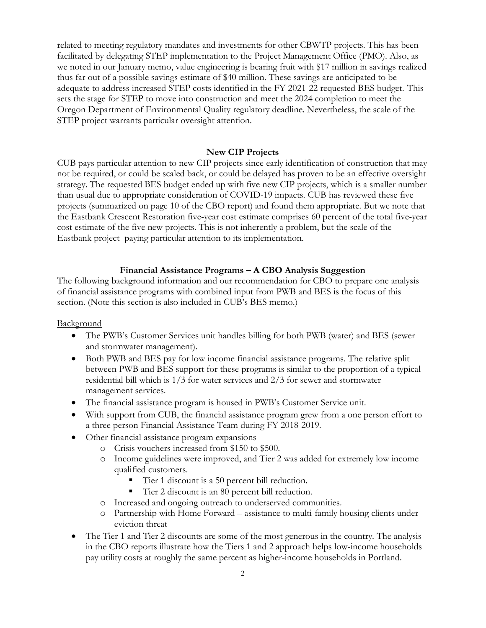related to meeting regulatory mandates and investments for other CBWTP projects. This has been facilitated by delegating STEP implementation to the Project Management Office (PMO). Also, as we noted in our January memo, value engineering is bearing fruit with \$17 million in savings realized thus far out of a possible savings estimate of \$40 million. These savings are anticipated to be adequate to address increased STEP costs identified in the FY 2021-22 requested BES budget. This sets the stage for STEP to move into construction and meet the 2024 completion to meet the Oregon Department of Environmental Quality regulatory deadline. Nevertheless, the scale of the STEP project warrants particular oversight attention.

#### New CIP Projects

CUB pays particular attention to new CIP projects since early identification of construction that may not be required, or could be scaled back, or could be delayed has proven to be an effective oversight strategy. The requested BES budget ended up with five new CIP projects, which is a smaller number than usual due to appropriate consideration of COVID-19 impacts. CUB has reviewed these five projects (summarized on page 10 of the CBO report) and found them appropriate. But we note that the Eastbank Crescent Restoration five-year cost estimate comprises 60 percent of the total five-year cost estimate of the five new projects. This is not inherently a problem, but the scale of the Eastbank project paying particular attention to its implementation.

#### Financial Assistance Programs – A CBO Analysis Suggestion

The following background information and our recommendation for CBO to prepare one analysis of financial assistance programs with combined input from PWB and BES is the focus of this section. (Note this section is also included in CUB's BES memo.)

Background

- The PWB's Customer Services unit handles billing for both PWB (water) and BES (sewer and stormwater management).
- Both PWB and BES pay for low income financial assistance programs. The relative split between PWB and BES support for these programs is similar to the proportion of a typical residential bill which is 1/3 for water services and 2/3 for sewer and stormwater management services.
- The financial assistance program is housed in PWB's Customer Service unit.
- With support from CUB, the financial assistance program grew from a one person effort to a three person Financial Assistance Team during FY 2018-2019.
- Other financial assistance program expansions
	- o Crisis vouchers increased from \$150 to \$500.
	- o Income guidelines were improved, and Tier 2 was added for extremely low income qualified customers.
		- Tier 1 discount is a 50 percent bill reduction.
		- Tier 2 discount is an 80 percent bill reduction.
	- o Increased and ongoing outreach to underserved communities.
	- o Partnership with Home Forward assistance to multi-family housing clients under eviction threat
- The Tier 1 and Tier 2 discounts are some of the most generous in the country. The analysis in the CBO reports illustrate how the Tiers 1 and 2 approach helps low-income households pay utility costs at roughly the same percent as higher-income households in Portland.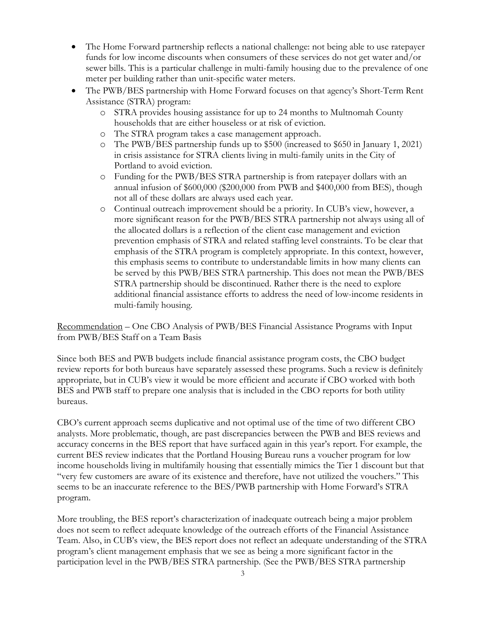- The Home Forward partnership reflects a national challenge: not being able to use ratepayer funds for low income discounts when consumers of these services do not get water and/or sewer bills. This is a particular challenge in multi-family housing due to the prevalence of one meter per building rather than unit-specific water meters.
- The PWB/BES partnership with Home Forward focuses on that agency's Short-Term Rent Assistance (STRA) program:
	- o STRA provides housing assistance for up to 24 months to Multnomah County households that are either houseless or at risk of eviction.
	- o The STRA program takes a case management approach.
	- o The PWB/BES partnership funds up to \$500 (increased to \$650 in January 1, 2021) in crisis assistance for STRA clients living in multi-family units in the City of Portland to avoid eviction.
	- o Funding for the PWB/BES STRA partnership is from ratepayer dollars with an annual infusion of \$600,000 (\$200,000 from PWB and \$400,000 from BES), though not all of these dollars are always used each year.
	- o Continual outreach improvement should be a priority. In CUB's view, however, a more significant reason for the PWB/BES STRA partnership not always using all of the allocated dollars is a reflection of the client case management and eviction prevention emphasis of STRA and related staffing level constraints. To be clear that emphasis of the STRA program is completely appropriate. In this context, however, this emphasis seems to contribute to understandable limits in how many clients can be served by this PWB/BES STRA partnership. This does not mean the PWB/BES STRA partnership should be discontinued. Rather there is the need to explore additional financial assistance efforts to address the need of low-income residents in multi-family housing.

Recommendation – One CBO Analysis of PWB/BES Financial Assistance Programs with Input from PWB/BES Staff on a Team Basis

Since both BES and PWB budgets include financial assistance program costs, the CBO budget review reports for both bureaus have separately assessed these programs. Such a review is definitely appropriate, but in CUB's view it would be more efficient and accurate if CBO worked with both BES and PWB staff to prepare one analysis that is included in the CBO reports for both utility bureaus.

CBO's current approach seems duplicative and not optimal use of the time of two different CBO analysts. More problematic, though, are past discrepancies between the PWB and BES reviews and accuracy concerns in the BES report that have surfaced again in this year's report. For example, the current BES review indicates that the Portland Housing Bureau runs a voucher program for low income households living in multifamily housing that essentially mimics the Tier 1 discount but that "very few customers are aware of its existence and therefore, have not utilized the vouchers." This seems to be an inaccurate reference to the BES/PWB partnership with Home Forward's STRA program.

More troubling, the BES report's characterization of inadequate outreach being a major problem does not seem to reflect adequate knowledge of the outreach efforts of the Financial Assistance Team. Also, in CUB's view, the BES report does not reflect an adequate understanding of the STRA program's client management emphasis that we see as being a more significant factor in the participation level in the PWB/BES STRA partnership. (See the PWB/BES STRA partnership